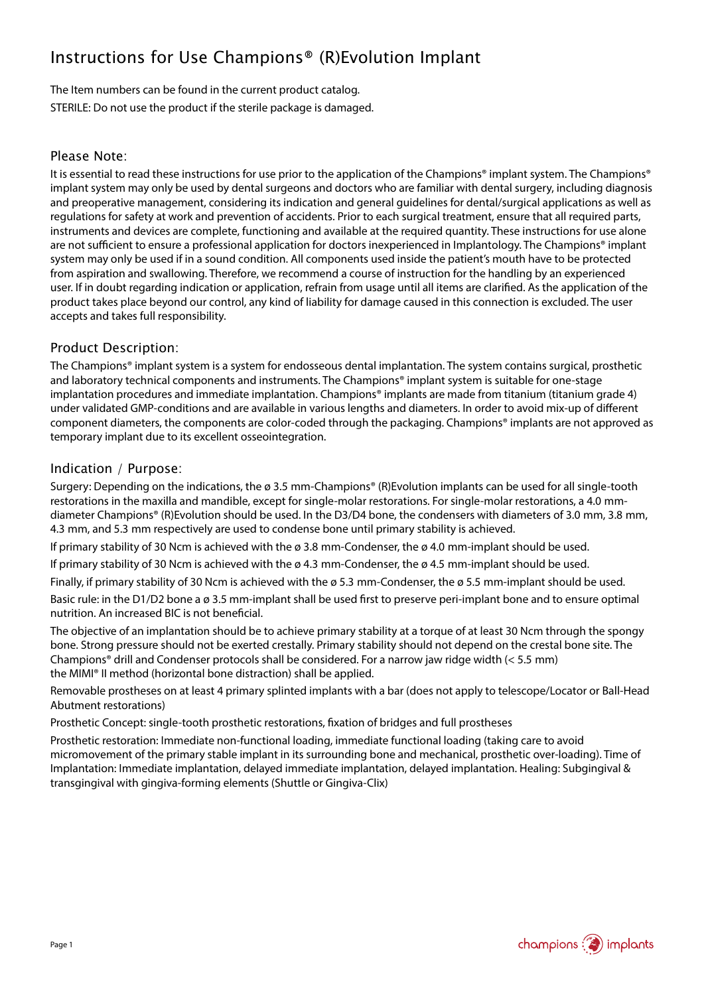## Instructions for Use Champions® (R)Evolution Implant

The Item numbers can be found in the current product catalog. STERILE: Do not use the product if the sterile package is damaged.

#### Please Note:

It is essential to read these instructions for use prior to the application of the Champions® implant system. The Champions® implant system may only be used by dental surgeons and doctors who are familiar with dental surgery, including diagnosis and preoperative management, considering its indication and general guidelines for dental/surgical applications as well as regulations for safety at work and prevention of accidents. Prior to each surgical treatment, ensure that all required parts, instruments and devices are complete, functioning and available at the required quantity. These instructions for use alone are not sufficient to ensure a professional application for doctors inexperienced in Implantology. The Champions® implant system may only be used if in a sound condition. All components used inside the patient's mouth have to be protected from aspiration and swallowing. Therefore, we recommend a course of instruction for the handling by an experienced user. If in doubt regarding indication or application, refrain from usage until all items are clarified. As the application of the product takes place beyond our control, any kind of liability for damage caused in this connection is excluded. The user accepts and takes full responsibility.

#### Product Description:

The Champions® implant system is a system for endosseous dental implantation. The system contains surgical, prosthetic and laboratory technical components and instruments. The Champions® implant system is suitable for one-stage implantation procedures and immediate implantation. Champions<sup>®</sup> implants are made from titanium (titanium grade 4) under validated GMP-conditions and are available in various lengths and diameters. In order to avoid mix-up of different component diameters, the components are color-coded through the packaging. Champions® implants are not approved as temporary implant due to its excellent osseointegration.

#### Indication / Purpose:

Surgery: Depending on the indications, the  $\varnothing$  3.5 mm-Champions® (R)Evolution implants can be used for all single-tooth restorations in the maxilla and mandible, except for single-molar restorations. For single-molar restorations, a 4.0 mmdiameter Champions® (R)Evolution should be used. In the D3/D4 bone, the condensers with diameters of 3.0 mm, 3.8 mm, 4.3 mm, and 5.3 mm respectively are used to condense bone until primary stability is achieved.

If primary stability of 30 Ncm is achieved with the ø 3.8 mm-Condenser, the ø 4.0 mm-implant should be used.

If primary stability of 30 Ncm is achieved with the ø 4.3 mm-Condenser, the ø 4.5 mm-implant should be used.

Finally, if primary stability of 30 Ncm is achieved with the  $\varnothing$  5.3 mm-Condenser, the  $\varnothing$  5.5 mm-implant should be used.

Basic rule: in the D1/D2 bone a ø 3.5 mm-implant shall be used first to preserve peri-implant bone and to ensure optimal nutrition. An increased BIC is not beneficial.

The objective of an implantation should be to achieve primary stability at a torque of at least 30 Ncm through the spongy bone. Strong pressure should not be exerted crestally. Primary stability should not depend on the crestal bone site. The Champions® drill and Condenser protocols shall be considered. For a narrow jaw ridge width (< 5.5 mm) the MIMI® II method (horizontal bone distraction) shall be applied.

Removable prostheses on at least 4 primary splinted implants with a bar (does not apply to telescope/Locator or Ball-Head Abutment restorations)

Prosthetic Concept: single-tooth prosthetic restorations, fixation of bridges and full prostheses

Prosthetic restoration: Immediate non-functional loading, immediate functional loading (taking care to avoid micromovement of the primary stable implant in its surrounding bone and mechanical, prosthetic over-loading). Time of Implantation: Immediate implantation, delayed immediate implantation, delayed implantation. Healing: Subgingival & transgingival with gingiva-forming elements (Shuttle or Gingiva-Clix)

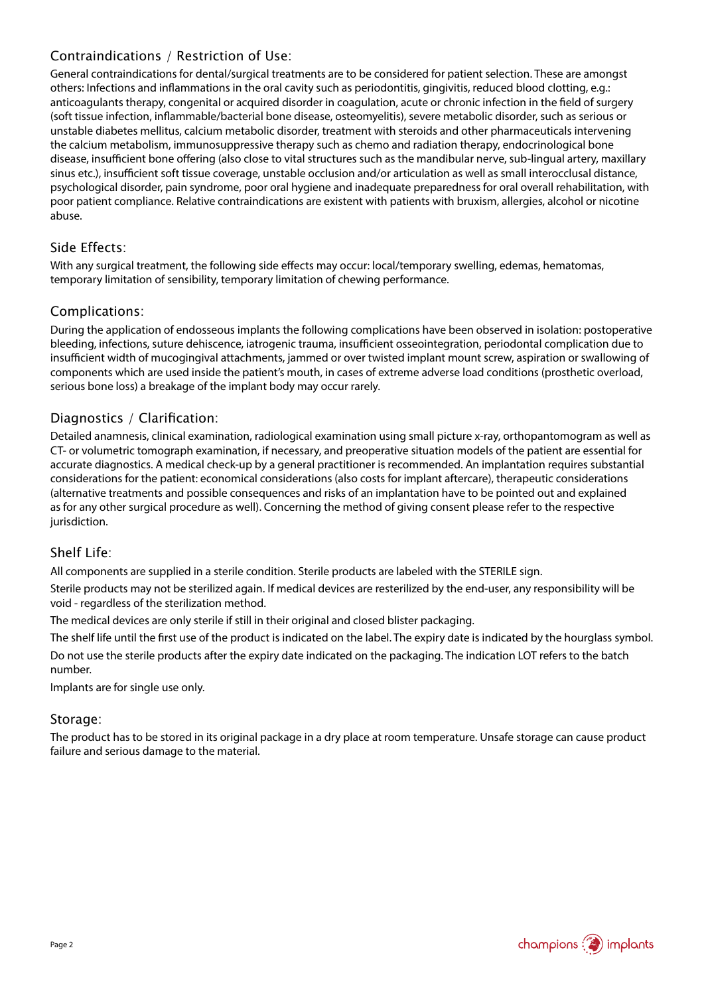#### Contraindications / Restriction of Use:

General contraindications for dental/surgical treatments are to be considered for patient selection. These are amongst others: Infections and inflammations in the oral cavity such as periodontitis, gingivitis, reduced blood clotting, e.g.: anticoagulants therapy, congenital or acquired disorder in coagulation, acute or chronic infection in the field of surgery (soft tissue infection, inflammable/bacterial bone disease, osteomyelitis), severe metabolic disorder, such as serious or unstable diabetes mellitus, calcium metabolic disorder, treatment with steroids and other pharmaceuticals intervening the calcium metabolism, immunosuppressive therapy such as chemo and radiation therapy, endocrinological bone disease, insufficient bone offering (also close to vital structures such as the mandibular nerve, sub-lingual artery, maxillary sinus etc.), insufficient soft tissue coverage, unstable occlusion and/or articulation as well as small interocclusal distance, psychological disorder, pain syndrome, poor oral hygiene and inadequate preparedness for oral overall rehabilitation, with poor patient compliance. Relative contraindications are existent with patients with bruxism, allergies, alcohol or nicotine abuse.

#### Side Effects:

With any surgical treatment, the following side effects may occur: local/temporary swelling, edemas, hematomas, temporary limitation of sensibility, temporary limitation of chewing performance.

#### Complications:

During the application of endosseous implants the following complications have been observed in isolation: postoperative bleeding, infections, suture dehiscence, iatrogenic trauma, insufficient osseointegration, periodontal complication due to insufficient width of mucogingival attachments, jammed or over twisted implant mount screw, aspiration or swallowing of components which are used inside the patient's mouth, in cases of extreme adverse load conditions (prosthetic overload, serious bone loss) a breakage of the implant body may occur rarely.

#### Diagnostics / Clarification:

Detailed anamnesis, clinical examination, radiological examination using small picture x-ray, orthopantomogram as well as CT- or volumetric tomograph examination, if necessary, and preoperative situation models of the patient are essential for accurate diagnostics. A medical check-up by a general practitioner is recommended. An implantation requires substantial considerations for the patient: economical considerations (also costs for implant aftercare), therapeutic considerations (alternative treatments and possible consequences and risks of an implantation have to be pointed out and explained as for any other surgical procedure as well). Concerning the method of giving consent please refer to the respective jurisdiction.

#### Shelf Life:

All components are supplied in a sterile condition. Sterile products are labeled with the STERILE sign.

Sterile products may not be sterilized again. If medical devices are resterilized by the end-user, any responsibility will be void - regardless of the sterilization method.

The medical devices are only sterile if still in their original and closed blister packaging.

The shelf life until the first use of the product is indicated on the label. The expiry date is indicated by the hourglass symbol. Do not use the sterile products after the expiry date indicated on the packaging. The indication LOT refers to the batch number.

Implants are for single use only.

#### Storage:

The product has to be stored in its original package in a dry place at room temperature. Unsafe storage can cause product failure and serious damage to the material.

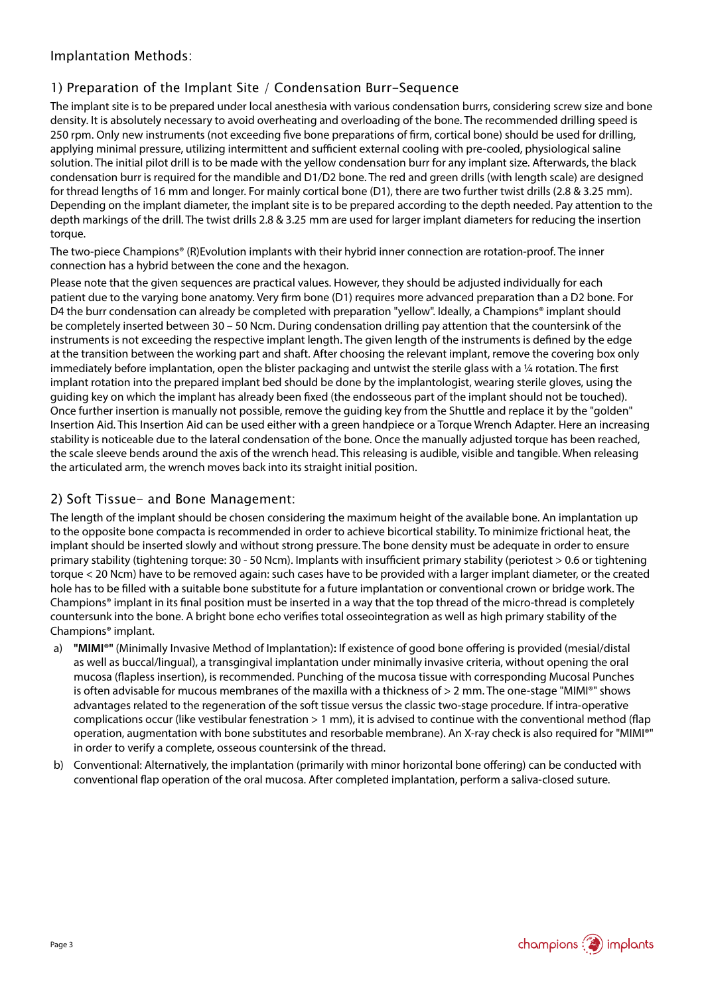#### Implantation Methods:

#### 1) Preparation of the Implant Site / Condensation Burr-Sequence

The implant site is to be prepared under local anesthesia with various condensation burrs, considering screw size and bone density. It is absolutely necessary to avoid overheating and overloading of the bone. The recommended drilling speed is 250 rpm. Only new instruments (not exceeding five bone preparations of firm, cortical bone) should be used for drilling, applying minimal pressure, utilizing intermittent and sufficient external cooling with pre-cooled, physiological saline solution. The initial pilot drill is to be made with the yellow condensation burr for any implant size. Afterwards, the black condensation burr is required for the mandible and D1/D2 bone. The red and green drills (with length scale) are designed for thread lengths of 16 mm and longer. For mainly cortical bone (D1), there are two further twist drills (2.8 & 3.25 mm). Depending on the implant diameter, the implant site is to be prepared according to the depth needed. Pay attention to the depth markings of the drill. The twist drills 2.8 & 3.25 mm are used for larger implant diameters for reducing the insertion torque.

The two-piece Champions® (R)Evolution implants with their hybrid inner connection are rotation-proof. The inner connection has a hybrid between the cone and the hexagon.

Please note that the given sequences are practical values. However, they should be adjusted individually for each patient due to the varying bone anatomy. Very firm bone (D1) requires more advanced preparation than a D2 bone. For D4 the burr condensation can already be completed with preparation "yellow". Ideally, a Champions® implant should be completely inserted between 30 – 50 Ncm. During condensation drilling pay attention that the countersink of the instruments is not exceeding the respective implant length. The given length of the instruments is defined by the edge at the transition between the working part and shaft. After choosing the relevant implant, remove the covering box only immediately before implantation, open the blister packaging and untwist the sterile glass with a 1/4 rotation. The first implant rotation into the prepared implant bed should be done by the implantologist, wearing sterile gloves, using the guiding key on which the implant has already been fixed (the endosseous part of the implant should not be touched). Once further insertion is manually not possible, remove the guiding key from the Shuttle and replace it by the "golden" Insertion Aid. This Insertion Aid can be used either with a green handpiece or a Torque Wrench Adapter. Here an increasing stability is noticeable due to the lateral condensation of the bone. Once the manually adjusted torque has been reached, the scale sleeve bends around the axis of the wrench head. This releasing is audible, visible and tangible. When releasing the articulated arm, the wrench moves back into its straight initial position.

#### 2) Soft Tissue- and Bone Management:

The length of the implant should be chosen considering the maximum height of the available bone. An implantation up to the opposite bone compacta is recommended in order to achieve bicortical stability. To minimize frictional heat, the implant should be inserted slowly and without strong pressure. The bone density must be adequate in order to ensure primary stability (tightening torque: 30 - 50 Ncm). Implants with insufficient primary stability (periotest > 0.6 or tightening torque < 20 Ncm) have to be removed again: such cases have to be provided with a larger implant diameter, or the created hole has to be filled with a suitable bone substitute for a future implantation or conventional crown or bridge work. The Champions® implant in its final position must be inserted in a way that the top thread of the micro-thread is completely countersunk into the bone. A bright bone echo verifies total osseointegration as well as high primary stability of the Champions® implant.

- a) **"MIMI®"** (Minimally Invasive Method of Implantation)**:** If existence of good bone offering is provided (mesial/distal as well as buccal/lingual), a transgingival implantation under minimally invasive criteria, without opening the oral mucosa (flapless insertion), is recommended. Punching of the mucosa tissue with corresponding Mucosal Punches is often advisable for mucous membranes of the maxilla with a thickness of > 2 mm. The one-stage "MIMI®" shows advantages related to the regeneration of the soft tissue versus the classic two-stage procedure. If intra-operative complications occur (like vestibular fenestration  $> 1$  mm), it is advised to continue with the conventional method (flap operation, augmentation with bone substitutes and resorbable membrane). An X-ray check is also required for "MIMI®" in order to verify a complete, osseous countersink of the thread.
- b) Conventional: Alternatively, the implantation (primarily with minor horizontal bone offering) can be conducted with conventional flap operation of the oral mucosa. After completed implantation, perform a saliva-closed suture.

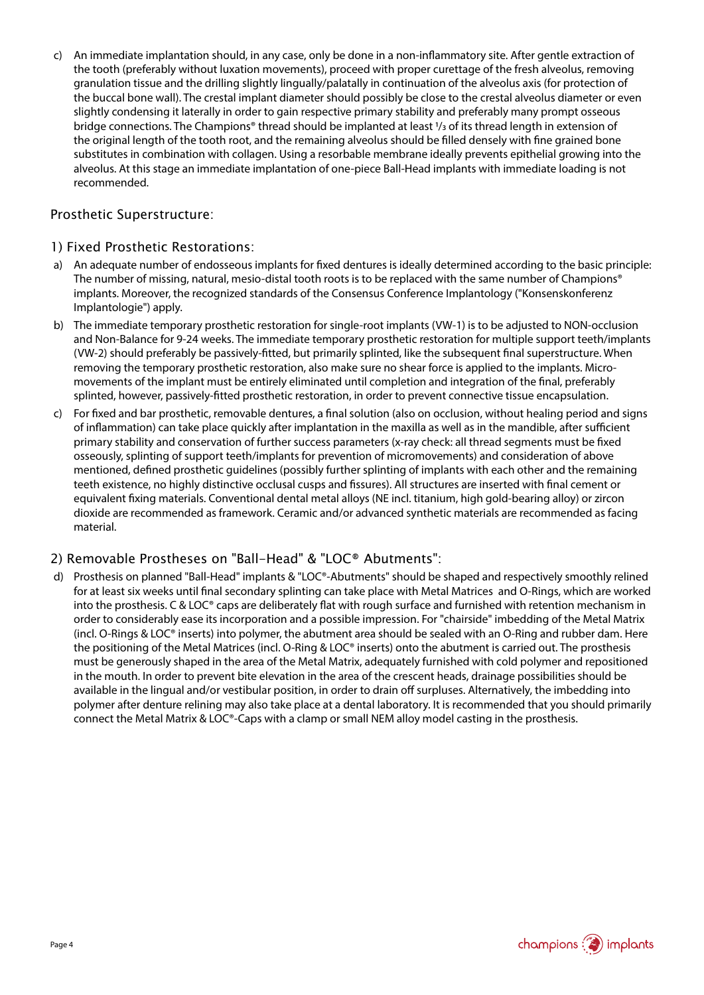c) An immediate implantation should, in any case, only be done in a non-inflammatory site. After gentle extraction of the tooth (preferably without luxation movements), proceed with proper curettage of the fresh alveolus, removing granulation tissue and the drilling slightly lingually/palatally in continuation of the alveolus axis (for protection of the buccal bone wall). The crestal implant diameter should possibly be close to the crestal alveolus diameter or even slightly condensing it laterally in order to gain respective primary stability and preferably many prompt osseous bridge connections. The Champions® thread should be implanted at least 1/3 of its thread length in extension of the original length of the tooth root, and the remaining alveolus should be filled densely with fine grained bone substitutes in combination with collagen. Using a resorbable membrane ideally prevents epithelial growing into the alveolus. At this stage an immediate implantation of one-piece Ball-Head implants with immediate loading is not recommended.

#### Prosthetic Superstructure:

#### 1) Fixed Prosthetic Restorations:

- a) An adequate number of endosseous implants for fixed dentures is ideally determined according to the basic principle: The number of missing, natural, mesio-distal tooth roots is to be replaced with the same number of Champions® implants. Moreover, the recognized standards of the Consensus Conference Implantology ("Konsenskonferenz Implantologie") apply.
- b) The immediate temporary prosthetic restoration for single-root implants (VW-1) is to be adjusted to NON-occlusion and Non-Balance for 9-24 weeks. The immediate temporary prosthetic restoration for multiple support teeth/implants (VW-2) should preferably be passively-fitted, but primarily splinted, like the subsequent final superstructure. When removing the temporary prosthetic restoration, also make sure no shear force is applied to the implants. Micromovements of the implant must be entirely eliminated until completion and integration of the final, preferably splinted, however, passively-fitted prosthetic restoration, in order to prevent connective tissue encapsulation.
- c) For fixed and bar prosthetic, removable dentures, a final solution (also on occlusion, without healing period and signs of inflammation) can take place quickly after implantation in the maxilla as well as in the mandible, after sufficient primary stability and conservation of further success parameters (x-ray check: all thread segments must be fixed osseously, splinting of support teeth/implants for prevention of micromovements) and consideration of above mentioned, defined prosthetic guidelines (possibly further splinting of implants with each other and the remaining teeth existence, no highly distinctive occlusal cusps and fissures). All structures are inserted with final cement or equivalent fixing materials. Conventional dental metal alloys (NE incl. titanium, high gold-bearing alloy) or zircon dioxide are recommended as framework. Ceramic and/or advanced synthetic materials are recommended as facing material.

#### 2) Removable Prostheses on "Ball-Head" & "LOC® Abutments":

Prosthesis on planned "Ball-Head" implants & "LOC®-Abutments" should be shaped and respectively smoothly relined for at least six weeks until final secondary splinting can take place with Metal Matrices and O-Rings, which are worked into the prosthesis. C & LOC® caps are deliberately flat with rough surface and furnished with retention mechanism in order to considerably ease its incorporation and a possible impression. For "chairside" imbedding of the Metal Matrix (incl. O-Rings & LOC® inserts) into polymer, the abutment area should be sealed with an O-Ring and rubber dam. Here the positioning of the Metal Matrices (incl. O-Ring & LOC® inserts) onto the abutment is carried out. The prosthesis must be generously shaped in the area of the Metal Matrix, adequately furnished with cold polymer and repositioned in the mouth. In order to prevent bite elevation in the area of the crescent heads, drainage possibilities should be available in the lingual and/or vestibular position, in order to drain off surpluses. Alternatively, the imbedding into polymer after denture relining may also take place at a dental laboratory. It is recommended that you should primarily connect the Metal Matrix & LOC®-Caps with a clamp or small NEM alloy model casting in the prosthesis.